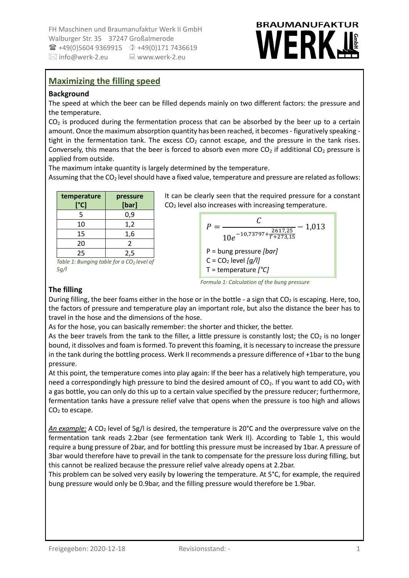FH Maschinen und Braumanufaktur Werk II GmbH Walburger Str. 35 37247 Großalmerode +49(0)5604 9369915 +49(0)171 7436619  $\boxtimes$  info@werk-2.eu  $\qquad \qquad \square$  www.werk-2.eu

# **BRAUMANUFAKTUR** MERK

### **Maximizing the filling speed**

#### **Background**

The speed at which the beer can be filled depends mainly on two different factors: the pressure and the temperature.

 $CO<sub>2</sub>$  is produced during the fermentation process that can be absorbed by the beer up to a certain amount. Once the maximum absorption quantity has been reached, it becomes - figuratively speaking tight in the fermentation tank. The excess  $CO<sub>2</sub>$  cannot escape, and the pressure in the tank rises. Conversely, this means that the beer is forced to absorb even more  $CO<sub>2</sub>$  if additional  $CO<sub>2</sub>$  pressure is applied from outside.

The maximum intake quantity is largely determined by the temperature.

Assuming that the  $CO<sub>2</sub>$  level should have a fixed value, temperature and pressure are related as follows:

| temperature<br>[°C]                             | pressure<br>[bar] |
|-------------------------------------------------|-------------------|
| 5                                               | 0,9               |
| 10                                              | 1,2               |
| 15                                              | 1,6               |
| 20                                              | 2                 |
| 25                                              | 2,5               |
| Table 1: Runging table for a $\Omega$ , level a |                   |

*Table 1: Bunging table for a CO<sup>2</sup> level of 5g/l*

It can be clearly seen that the required pressure for a constant CO<sup>2</sup> level also increases with increasing temperature.

$$
P = \frac{C}{10e^{-10.73797 + \frac{2617.25}{T + 273.15}}} - 1.013
$$
  
P = bung pressure [bar]  
C = CO<sub>2</sub> level [g/l]  
T = temperature [°C]

*Formula 1: Calculation of the bung pressure*

#### **The filling**

During filling, the beer foams either in the hose or in the bottle - a sign that  $CO<sub>2</sub>$  is escaping. Here, too, the factors of pressure and temperature play an important role, but also the distance the beer has to travel in the hose and the dimensions of the hose.

As for the hose, you can basically remember: the shorter and thicker, the better.

As the beer travels from the tank to the filler, a little pressure is constantly lost; the  $CO<sub>2</sub>$  is no longer bound, it dissolves and foam is formed. To prevent this foaming, it is necessary to increase the pressure in the tank during the bottling process. Werk II recommends a pressure difference of +1bar to the bung pressure.

At this point, the temperature comes into play again: If the beer has a relatively high temperature, you need a correspondingly high pressure to bind the desired amount of  $CO<sub>2</sub>$ . If you want to add  $CO<sub>2</sub>$  with a gas bottle, you can only do this up to a certain value specified by the pressure reducer; furthermore, fermentation tanks have a pressure relief valve that opens when the pressure is too high and allows  $CO<sub>2</sub>$  to escape.

An example: A CO<sub>2</sub> level of 5g/l is desired, the temperature is 20°C and the overpressure valve on the fermentation tank reads 2.2bar (see fermentation tank Werk II). According to Table 1, this would require a bung pressure of 2bar, and for bottling this pressure must be increased by 1bar. A pressure of 3bar would therefore have to prevail in the tank to compensate for the pressure loss during filling, but this cannot be realized because the pressure relief valve already opens at 2.2bar.

This problem can be solved very easily by lowering the temperature. At 5°C, for example, the required bung pressure would only be 0.9bar, and the filling pressure would therefore be 1.9bar.